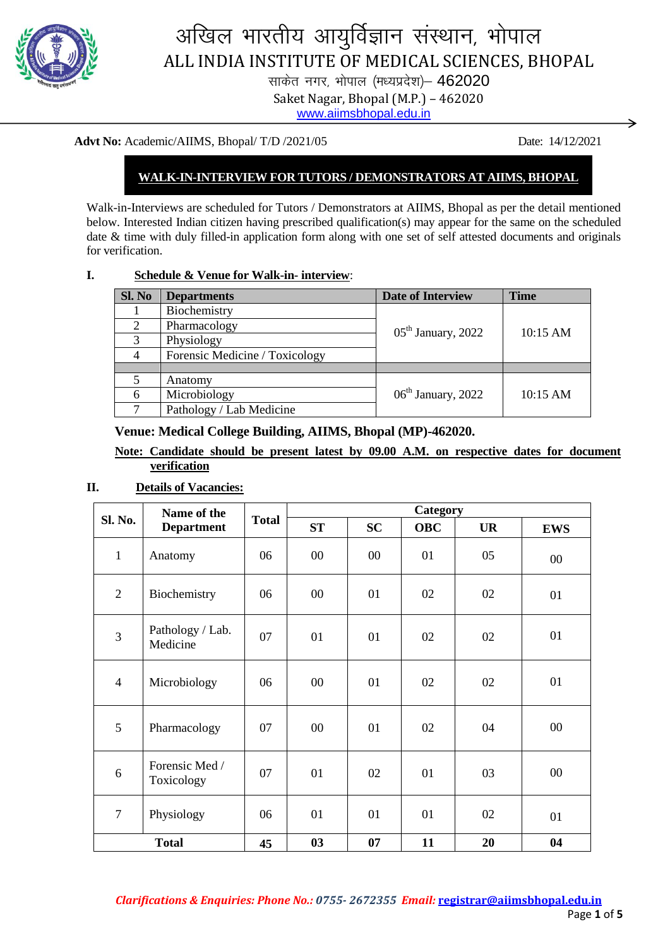

# अखिल भारतीय आयुर्विज्ञान संस्थान, भोपाल ALL INDIA INSTITUTE OF MEDICAL SCIENCES, BHOPAL

साकेत नगर, भोपाल (मध्यप्रदेश)- 462020 Saket Nagar, Bhopal (M.P.) – 462020 [www.aiimsbhopal.edu.in](http://www.aiimsbhopal.edu.in/)

#### **Advt No:** Academic/AIIMS, Bhopal/ T/D /2021/05 Date: 14/12/2021

# **WALK-IN-INTERVIEW FOR TUTORS / DEMONSTRATORS AT AIIMS, BHOPAL**

Walk-in-Interviews are scheduled for Tutors / Demonstrators at AIIMS, Bhopal as per the detail mentioned below. Interested Indian citizen having prescribed qualification(s) may appear for the same on the scheduled date & time with duly filled-in application form along with one set of self attested documents and originals for verification.

**I. Schedule & Venue for Walk-in- interview**:

| Sl. No                      | <b>Departments</b>             | <b>Date of Interview</b> | <b>Time</b> |  |
|-----------------------------|--------------------------------|--------------------------|-------------|--|
|                             | Biochemistry                   |                          |             |  |
| $\mathcal{D}_{\mathcal{L}}$ | Pharmacology                   | $05th$ January, 2022     | 10:15 AM    |  |
| 3                           | Physiology                     |                          |             |  |
|                             | Forensic Medicine / Toxicology |                          |             |  |
|                             |                                |                          |             |  |
|                             | Anatomy                        |                          |             |  |
|                             | Microbiology                   | $06th$ January, 2022     | 10:15 AM    |  |
|                             | Pathology / Lab Medicine       |                          |             |  |

## **Venue: Medical College Building, AIIMS, Bhopal (MP)-462020.**

## **Note: Candidate should be present latest by 09.00 A.M. on respective dates for document verification**

#### **II. Details of Vacancies:**

| Sl. No.        | Name of the<br><b>Department</b> | <b>Total</b> | Category |           |            |           |            |
|----------------|----------------------------------|--------------|----------|-----------|------------|-----------|------------|
|                |                                  |              | ST       | <b>SC</b> | <b>OBC</b> | <b>UR</b> | <b>EWS</b> |
| $\mathbf{1}$   | Anatomy                          | 06           | $00\,$   | $00\,$    | 01         | 05        | $00\,$     |
| $\overline{2}$ | Biochemistry                     | 06           | $00\,$   | 01        | 02         | 02        | 01         |
| 3              | Pathology / Lab.<br>Medicine     | 07           | 01       | 01        | 02         | 02        | 01         |
| $\overline{4}$ | Microbiology                     | 06           | $00\,$   | 01        | 02         | 02        | 01         |
| 5              | Pharmacology                     | 07           | 00       | 01        | 02         | 04        | 00         |
| 6              | Forensic Med /<br>Toxicology     | 07           | 01       | 02        | 01         | 03        | $00\,$     |
| $\overline{7}$ | Physiology                       | 06           | 01       | 01        | 01         | 02        | 01         |
| <b>Total</b>   |                                  | 45           | 03       | 07        | 11         | 20        | 04         |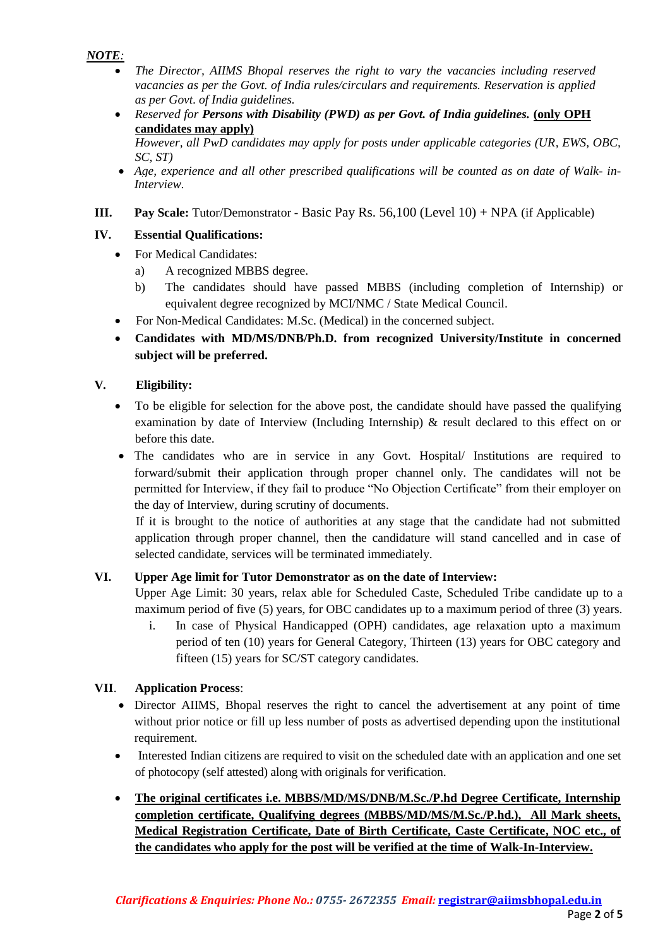## *NOTE:*

- *The Director, AIIMS Bhopal reserves the right to vary the vacancies including reserved vacancies as per the Govt. of India rules/circulars and requirements. Reservation is applied as per Govt. of India guidelines.*
- Reserved for Persons with Disability (PWD) as per Govt. of India guidelines. (only OPH **candidates may apply)**

*However, all PwD candidates may apply for posts under applicable categories (UR, EWS, OBC, SC, ST)*

- Age, experience and all other prescribed qualifications will be counted as on date of Walk- in-*Interview.*
- **III.** Pay Scale: Tutor/Demonstrator **-** Basic Pay Rs. 56,100 (Level 10) + NPA (if Applicable)

# **IV. Essential Qualifications:**

- For Medical Candidates:
	- a) A recognized MBBS degree.
	- b) The candidates should have passed MBBS (including completion of Internship) or equivalent degree recognized by MCI/NMC / State Medical Council.
- For Non-Medical Candidates: M.Sc. (Medical) in the concerned subject.
- **Candidates with MD/MS/DNB/Ph.D. from recognized University/Institute in concerned subject will be preferred.**

## **V. Eligibility:**

- To be eligible for selection for the above post, the candidate should have passed the qualifying examination by date of Interview (Including Internship) & result declared to this effect on or before this date.
- The candidates who are in service in any Govt. Hospital/ Institutions are required to forward/submit their application through proper channel only. The candidates will not be permitted for Interview, if they fail to produce "No Objection Certificate" from their employer on the day of Interview, during scrutiny of documents.

If it is brought to the notice of authorities at any stage that the candidate had not submitted application through proper channel, then the candidature will stand cancelled and in case of selected candidate, services will be terminated immediately.

#### **VI. Upper Age limit for Tutor Demonstrator as on the date of Interview:**

Upper Age Limit: 30 years, relax able for Scheduled Caste, Scheduled Tribe candidate up to a maximum period of five (5) years, for OBC candidates up to a maximum period of three (3) years.

i. In case of Physical Handicapped (OPH) candidates, age relaxation upto a maximum period of ten (10) years for General Category, Thirteen (13) years for OBC category and fifteen (15) years for SC/ST category candidates.

# **VII**. **Application Process**:

- Director AIIMS, Bhopal reserves the right to cancel the advertisement at any point of time without prior notice or fill up less number of posts as advertised depending upon the institutional requirement.
- Interested Indian citizens are required to visit on the scheduled date with an application and one set of photocopy (self attested) along with originals for verification.
- **The original certificates i.e. MBBS/MD/MS/DNB/M.Sc./P.hd Degree Certificate, Internship completion certificate, Qualifying degrees (MBBS/MD/MS/M.Sc./P.hd.), All Mark sheets, Medical Registration Certificate, Date of Birth Certificate, Caste Certificate, NOC etc., of the candidates who apply for the post will be verified at the time of Walk-In-Interview.**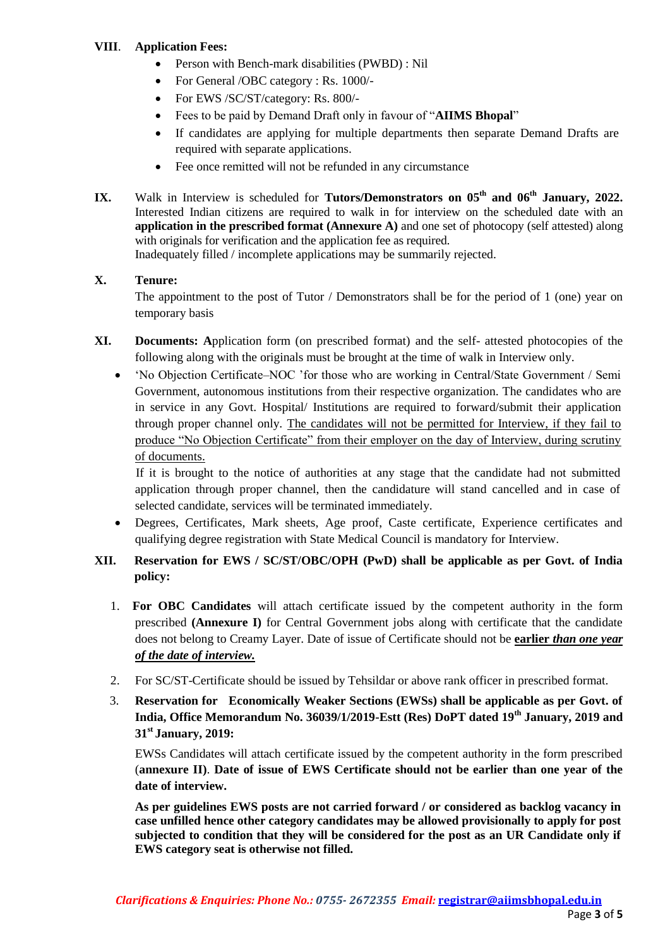## **VIII**. **Application Fees:**

- Person with Bench-mark disabilities (PWBD) : Nil
- For General /OBC category : Rs. 1000/-
- For EWS /SC/ST/category: Rs. 800/-
- Fees to be paid by Demand Draft only in favour of "**AIIMS Bhopal**"
- If candidates are applying for multiple departments then separate Demand Drafts are required with separate applications.
- Fee once remitted will not be refunded in any circumstance
- **IX.** Walk in Interview is scheduled for **Tutors/Demonstrators on 05th and 06th January, 2022.** Interested Indian citizens are required to walk in for interview on the scheduled date with an **application in the prescribed format (Annexure A)** and one set of photocopy (self attested) along with originals for verification and the application fee as required.

Inadequately filled / incomplete applications may be summarily rejected.

## **X. Tenure:**

The appointment to the post of Tutor / Demonstrators shall be for the period of 1 (one) year on temporary basis

- **XI. Documents: A**pplication form (on prescribed format) and the self- attested photocopies of the following along with the originals must be brought at the time of walk in Interview only.
	- "No Objection Certificate–NOC "for those who are working in Central/State Government / Semi Government, autonomous institutions from their respective organization. The candidates who are in service in any Govt. Hospital/ Institutions are required to forward/submit their application through proper channel only. The candidates will not be permitted for Interview, if they fail to produce "No Objection Certificate" from their employer on the day of Interview, during scrutiny of documents.

If it is brought to the notice of authorities at any stage that the candidate had not submitted application through proper channel, then the candidature will stand cancelled and in case of selected candidate, services will be terminated immediately.

 Degrees, Certificates, Mark sheets, Age proof, Caste certificate, Experience certificates and qualifying degree registration with State Medical Council is mandatory for Interview.

# **XII. Reservation for EWS / SC/ST/OBC/OPH (PwD) shall be applicable as per Govt. of India policy:**

- 1. **For OBC Candidates** will attach certificate issued by the competent authority in the form prescribed **(Annexure I)** for Central Government jobs along with certificate that the candidate does not belong to Creamy Layer. Date of issue of Certificate should not be **earlier** *than one year of the date of interview.*
- 2. For SC/ST-Certificate should be issued by Tehsildar or above rank officer in prescribed format.
- 3. **Reservation for Economically Weaker Sections (EWSs) shall be applicable as per Govt. of India, Office Memorandum No. 36039/1/2019-Estt (Res) DoPT dated 19th January, 2019 and 31st January, 2019:**

EWSs Candidates will attach certificate issued by the competent authority in the form prescribed (**annexure II)**. **Date of issue of EWS Certificate should not be earlier than one year of the date of interview.**

**As per guidelines EWS posts are not carried forward / or considered as backlog vacancy in case unfilled hence other category candidates may be allowed provisionally to apply for post subjected to condition that they will be considered for the post as an UR Candidate only if EWS category seat is otherwise not filled.**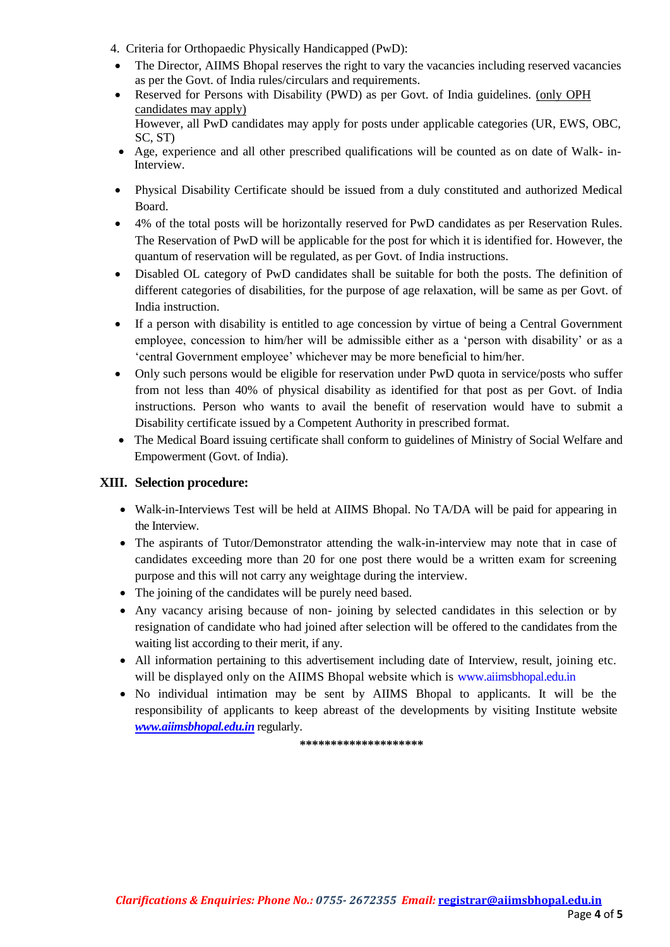- 4. Criteria for Orthopaedic Physically Handicapped (PwD):
- The Director, AIIMS Bhopal reserves the right to vary the vacancies including reserved vacancies as per the Govt. of India rules/circulars and requirements.
- Reserved for Persons with Disability (PWD) as per Govt. of India guidelines. (only OPH candidates may apply) However, all PwD candidates may apply for posts under applicable categories (UR, EWS, OBC, SC, ST)
- Age, experience and all other prescribed qualifications will be counted as on date of Walk- in-Interview.
- Physical Disability Certificate should be issued from a duly constituted and authorized Medical Board.
- 4% of the total posts will be horizontally reserved for PwD candidates as per Reservation Rules. The Reservation of PwD will be applicable for the post for which it is identified for. However, the quantum of reservation will be regulated, as per Govt. of India instructions.
- Disabled OL category of PwD candidates shall be suitable for both the posts. The definition of different categories of disabilities, for the purpose of age relaxation, will be same as per Govt. of India instruction.
- If a person with disability is entitled to age concession by virtue of being a Central Government employee, concession to him/her will be admissible either as a "person with disability" or as a "central Government employee" whichever may be more beneficial to him/her.
- Only such persons would be eligible for reservation under PwD quota in service/posts who suffer from not less than 40% of physical disability as identified for that post as per Govt. of India instructions. Person who wants to avail the benefit of reservation would have to submit a Disability certificate issued by a Competent Authority in prescribed format.
- The Medical Board issuing certificate shall conform to guidelines of Ministry of Social Welfare and Empowerment (Govt. of India).

#### **XIII. Selection procedure:**

- Walk-in-Interviews Test will be held at AIIMS Bhopal. No TA/DA will be paid for appearing in the Interview.
- The aspirants of Tutor/Demonstrator attending the walk-in-interview may note that in case of candidates exceeding more than 20 for one post there would be a written exam for screening purpose and this will not carry any weightage during the interview.
- The joining of the candidates will be purely need based.
- Any vacancy arising because of non- joining by selected candidates in this selection or by resignation of candidate who had joined after selection will be offered to the candidates from the waiting list according to their merit, if any.
- All information pertaining to this advertisement including date of Interview, result, joining etc. will be displayed only on the AIIMS Bhopal website which is www.aiimsbhopal.edu.in
- No individual intimation may be sent by AIIMS Bhopal to applicants. It will be the responsibility of applicants to keep abreast of the developments by visiting Institute website *[www.aiimsbhopal.edu.in](http://www.aiimsbhopal.edu.in/)* regularly.

**\*\*\*\*\*\*\*\*\*\*\*\*\*\*\*\*\*\*\*\***

Page **4** of **5**